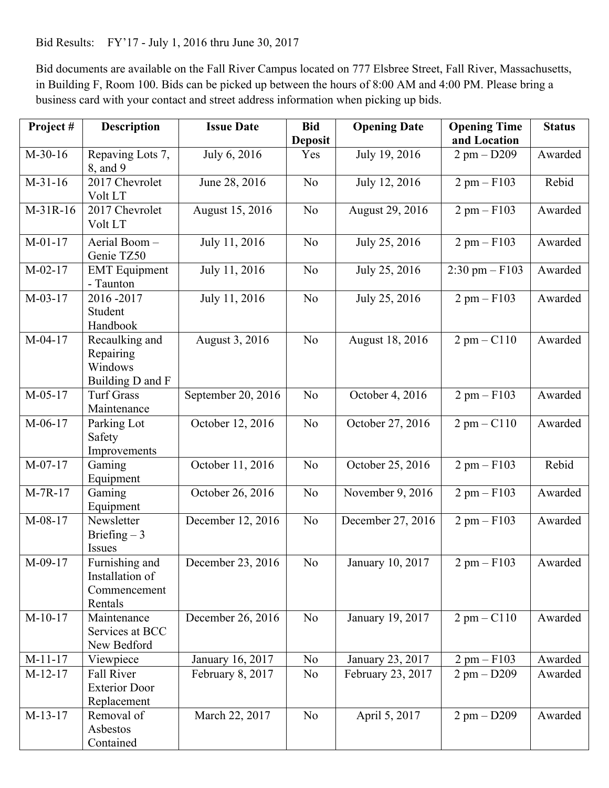Bid Results: FY'17 - July 1, 2016 thru June 30, 2017

 in Building F, Room 100. Bids can be picked up between the hours of 8:00 AM and 4:00 PM. Please bring a Bid documents are available on the Fall River Campus located on 777 Elsbree Street, Fall River, Massachusetts, business card with your contact and street address information when picking up bids.

| Project#  | <b>Description</b>                                           | <b>Issue Date</b>  | <b>Bid</b>     | <b>Opening Date</b> | <b>Opening Time</b>      | <b>Status</b> |
|-----------|--------------------------------------------------------------|--------------------|----------------|---------------------|--------------------------|---------------|
|           |                                                              |                    | <b>Deposit</b> |                     | and Location             |               |
| $M-30-16$ | Repaving Lots 7,<br>8, and 9                                 | July 6, 2016       | Yes            | July 19, 2016       | $2$ pm $-$ D209          | Awarded       |
| $M-31-16$ | 2017 Chevrolet<br>Volt LT                                    | June 28, 2016      | N <sub>o</sub> | July 12, 2016       | $2$ pm $-$ F103          | Rebid         |
| M-31R-16  | 2017 Chevrolet<br>Volt LT                                    | August 15, 2016    | N <sub>0</sub> | August 29, 2016     | $2$ pm $-$ F103          | Awarded       |
| $M-01-17$ | Aerial Boom-<br>Genie TZ50                                   | July 11, 2016      | N <sub>o</sub> | July 25, 2016       | $2$ pm $-$ F103          | Awarded       |
| $M-02-17$ | <b>EMT</b> Equipment<br>- Taunton                            | July 11, 2016      | N <sub>o</sub> | July 25, 2016       | $2:30 \text{ pm} - F103$ | Awarded       |
| $M-03-17$ | 2016-2017<br>Student<br>Handbook                             | July 11, 2016      | N <sub>o</sub> | July 25, 2016       | $2$ pm $-$ F103          | Awarded       |
| $M-04-17$ | Recaulking and<br>Repairing<br>Windows<br>Building D and F   | August 3, 2016     | N <sub>o</sub> | August 18, 2016     | $2$ pm $ C110$           | Awarded       |
| $M-05-17$ | <b>Turf Grass</b><br>Maintenance                             | September 20, 2016 | N <sub>o</sub> | October 4, 2016     | $2$ pm $-$ F103          | Awarded       |
| $M-06-17$ | Parking Lot<br>Safety<br>Improvements                        | October 12, 2016   | N <sub>o</sub> | October 27, 2016    | $2$ pm $ C110$           | Awarded       |
| $M-07-17$ | Gaming<br>Equipment                                          | October 11, 2016   | N <sub>o</sub> | October 25, 2016    | $2$ pm $-$ F103          | Rebid         |
| $M-7R-17$ | Gaming<br>Equipment                                          | October 26, 2016   | N <sub>o</sub> | November 9, 2016    | $2$ pm $-$ F103          | Awarded       |
| M-08-17   | Newsletter<br>Briefing $-3$<br>Issues                        | December 12, 2016  | N <sub>o</sub> | December 27, 2016   | $2$ pm $-$ F103          | Awarded       |
| M-09-17   | Furnishing and<br>Installation of<br>Commencement<br>Rentals | December 23, 2016  | No             | January 10, 2017    | $2$ pm $-$ F103          | Awarded       |
| $M-10-17$ | Maintenance<br>Services at BCC<br>New Bedford                | December 26, 2016  | N <sub>0</sub> | January 19, 2017    | $2$ pm $-$ C110          | Awarded       |
| $M-11-17$ | Viewpiece                                                    | January 16, 2017   | N <sub>0</sub> | January 23, 2017    | $2$ pm $-$ F103          | Awarded       |
| $M-12-17$ | Fall River<br><b>Exterior Door</b><br>Replacement            | February 8, 2017   | N <sub>0</sub> | February 23, 2017   | $2$ pm $-$ D209          | Awarded       |
| $M-13-17$ | Removal of<br>Asbestos<br>Contained                          | March 22, 2017     | No             | April 5, 2017       | $2$ pm $-$ D209          | Awarded       |